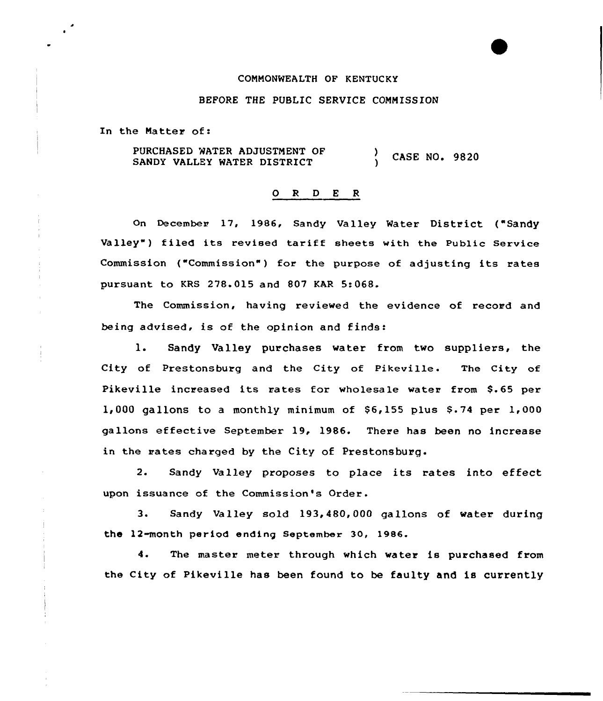### CONNONNEALTH OF KENTUCKY

## BEFORE THE PUBLIC SERVICE CONNISSION

In the Matter of:

PURCHASED NATER ADJUSTNENT OF PURCHASED WATER ADJUSTMENT OF  $\overrightarrow{O}$  CASE NO. 9820

#### 0 <sup>R</sup> <sup>D</sup> <sup>E</sup> <sup>R</sup>

On December 17, 1986, Sandy Valley Water District ("Sandy Valley") filed its revised tariff sheets with the Public Service Commission ("Commission") for the purpose of adjusting its rates pursuant to KRS 278.015 and 807 KAR 5:068.

The Commission, having reviewed the evidence of record and being advised, is of the opinion and finds:

1. Sandy Valley purchases water from two suppliers, the City of Prestonsburg and the City of Pikeville. The City of Pikeville increased its rates for wholesale water from \$.65 per  $1,000$  gallons to a monthly minimum of  $$6,155$  plus  $$3.74$  per  $1,000$ gallons effective September 19, 1986. There has been no increase in the rates charged by the City of Prestonsburg.

2. Sandy Valley proposes to place its rates into effect upon issuance of the Commission's Order.

3. Sandy Valley sold 193,480,000 gallons of water during the 12-month period ending September 30, 1986.

4. The master meter through which water is purchased from the City of Pikeville has been found to be faulty and is currently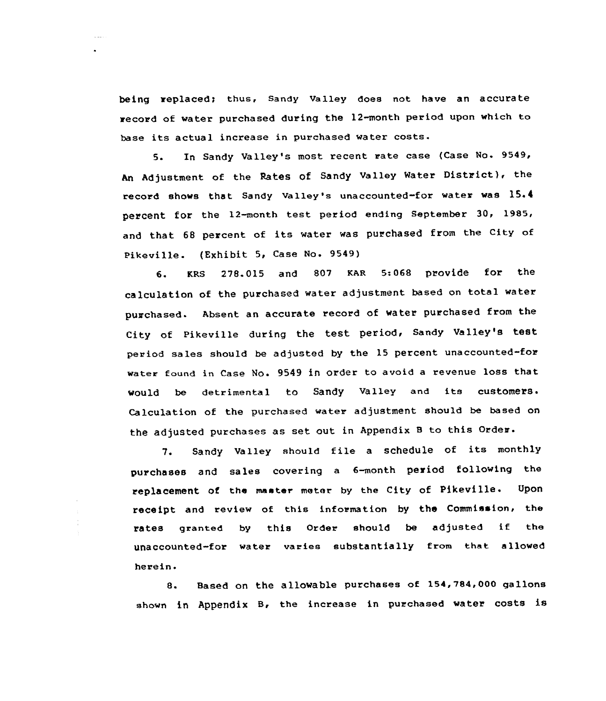being replaced; thus, Sandy Valley does not have an accurate record of water purchased during the 12-month period upon which to base its actual increase in purchased water costs.

5. In Sandy Valley's most recent rate case (Case No. 9549, An Adjustment of the Rates of Sandy Valley Water District), the record shows that Sandy valley's unaccounted-for water was 1S.<sup>4</sup> percent for the 12-month test period ending September 30, 1985, and that <sup>68</sup> percent of its water was purchased from the City of Pikeville. (Exhibit 5, Case No. 9549)

6. KRs 278.015 and 807 KAR 5:068 provide for the calculation of the purchased water adjustment based on total water purchased. Absent an accurate record of water purchased from the City of Pikeville during the test period, Sandy Valley's test period sales should be adjusted by the 15 percent unaccounted-for water found in Case No. 9549 in order to avoid a revenue loss that would be detrimental to sandy valley and its customers. Calculation of the purchased water adjustment should be based on the adjusted purchases as set out in Appendix B to this Order.

7. Sandy Valley should file <sup>a</sup> schedule of its monthly purchases and sales covering <sup>a</sup> 6-month period following the replacement of the master meter by the City of Pikeville. Upon receipt and review of this information by the Commission, the rates granted by this Order should be adjusted if the unaccounted-for water varies substantially from that allowed herein.

 $\frac{1}{2}$ 

8. Based on the allowable purchases of 154,784,000 gallons shown in Appendix B, the increase in purchased water costs is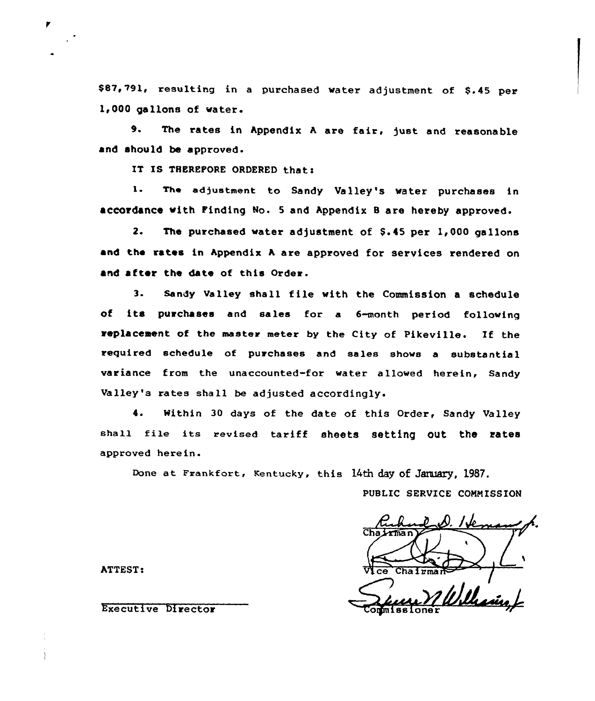\$87,791, resulting in a purchased water adjustment of \$.45 per 1,000 gallons of water.

9. The rates in Appendix A are fair, just and reasonable and should be approved.

IT IS THEREPORE ORDERED that:

1. The adjustment to Sandy Valley's water purchases in accordance with Pinding No. 5 and Appendix B are hereby approved.

2. The purchased water adjustment of \$.45 per 1,000 gallons and the rates in Appendix <sup>A</sup> are approved for services rendered on and after the date of this Order.

3. Sandy Valley shall file with the Commission a schedule of its purchases and sales for a 6-month period following replacement of the master meter by the City of Pikeville. If the required schedule of purchases and sales shows a substantial variance from the unaccounted-for water allowed herein, Sandy Valley's rates shall be adjusted accordingly.

4. Within 30 days of the date of this Order, Sandy Valley shall file its revised tariff sheets setting out the rates approved herein.

Done at Frankfort, Kentucky, this 14th day of January, 1987.

PUBLIC SERVICE CONNISSION

 $\sqrt{\frac{1}{2}}$ Chairman $\approx$ / Sum William,

ATTEST:

Executive Director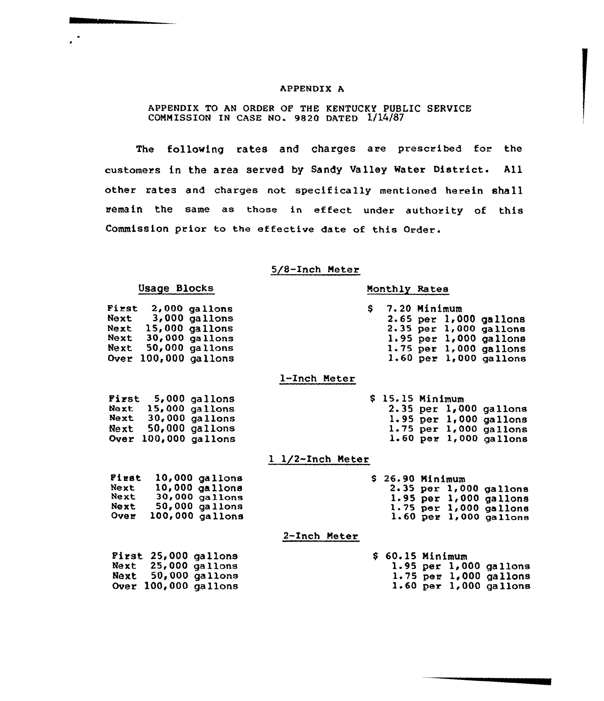### APPENDIX A

# APPENDIX TO AN ORDER OF THE KENTUCKY PUBLIC SERVICE COMMISSION IN CASE NO. 9820 DATED 1/14/87

The following rates and charges are prescribed for the customers in the area served by Sandy Valley Water District. All other rates and charges not specifically mentioned herein shall remain the same as those in effect under authority of this Commission prior to the effective date of this Order.

### 5/8-Inch Meter

| Usage Blocks                                                                                                                                 | Monthly Rates                                                                                                                                        |
|----------------------------------------------------------------------------------------------------------------------------------------------|------------------------------------------------------------------------------------------------------------------------------------------------------|
| First<br>2,000 gallons<br>Next<br>3,000 gallons<br>Next 15,000 gallons<br>Next 30,000 gallons<br>Next 50,000 gallons<br>Over 100,000 gallons | 7.20 Minimum<br>S.<br>2.65 per 1,000 gallons<br>2.35 per 1,000 gallons<br>1.95 per 1,000 gallons<br>1.75 per 1,000 gallons<br>1.60 per 1,000 gallons |
|                                                                                                                                              | 1-Inch Meter                                                                                                                                         |
| First 5,000 gallons<br>Next 15,000 gallons<br>Next 30,000 gallons<br>Next 50,000 gallons<br>Over 100,000 gallons                             | $$15.15$ Minimum<br>2.35 per 1,000 gallons<br>$1.95$ per $1,000$ gallons<br>1.75 per 1,000 gallons<br>$1.60$ per $1,000$ gallons                     |
|                                                                                                                                              | 1 1/2-Inch Meter                                                                                                                                     |
| First<br>10,000 gallons<br>10,000 gallons<br>Next<br>30,000 gallons<br>Next<br>50,000 gallons<br>Next<br>100,000 gallons<br>Over             | $$26.90$ Minimum<br>2.35 per 1,000 gallons<br>1.95 per 1,000 gallons<br>$1.75$ per $1,000$ gallons<br>$1.60$ per $1,000$ gallons                     |
|                                                                                                                                              | 2-Inch Meter                                                                                                                                         |
| First 25,000 gallons<br>Next 25,000 gallons<br>Next 50,000 gallons<br>Over 100,000 gallons                                                   | $$60.15$ Minimum<br>1.95 per 1,000 gallons<br>$1.75$ per $1,000$ gallons<br>$1.60$ per $1,000$ gallons                                               |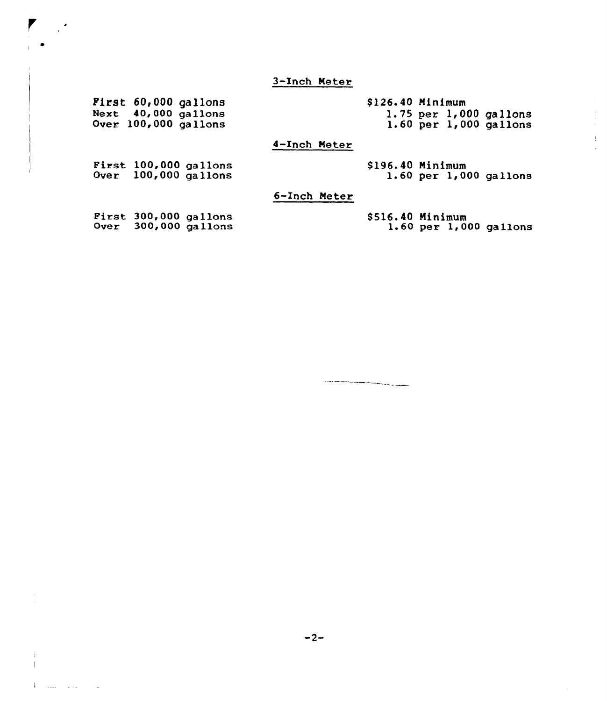3-Inch Neter

First 60,000 gallons Next 40,000 gallon Over 100,000 gallons

 $\mathbb{R}^2$ 

**Union and the State** 

\$126.40 Minimum 1.75 per 1,000 gallons l. <sup>60</sup> per 1,<sup>000</sup> gallons

 $\frac{1}{2}$ 

 $\frac{1}{2}$  $\mathcal{A}^{\mathcal{A}}$ 

4-Inch Meter

First 100,000 gallon Over  $100,000$  gallon

5196.40 Ninimum 1.60 per 1,000 gallons

6-Inch Meter

**First 300,000 gallons** Over 300,000 gallon

8516.40 Ninimum 1.60 per 1,000 gallons